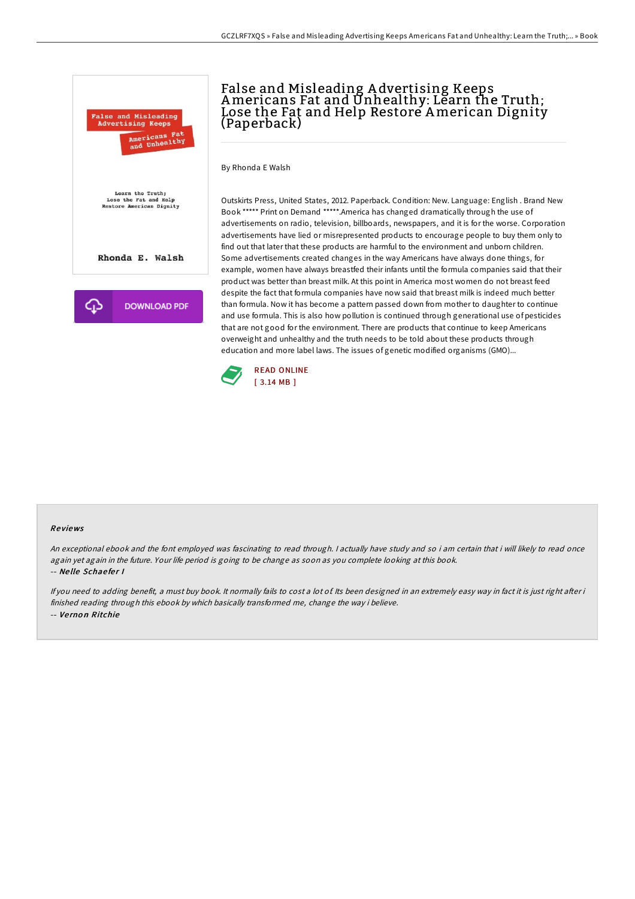

# False and Misleading A dvertising Keeps Americans Fat and Unhealthy: Learn the Truth; Lose the Fat and Help Restore American Dignity (Paperback)

By Rhonda E Walsh

Outskirts Press, United States, 2012. Paperback. Condition: New. Language: English . Brand New Book \*\*\*\*\* Print on Demand \*\*\*\*\*.America has changed dramatically through the use of advertisements on radio, television, billboards, newspapers, and it is for the worse. Corporation advertisements have lied or misrepresented products to encourage people to buy them only to find out that later that these products are harmful to the environment and unborn children. Some advertisements created changes in the way Americans have always done things, for example, women have always breastfed their infants until the formula companies said that their product was better than breast milk. At this point in America most women do not breast feed despite the fact that formula companies have now said that breast milk is indeed much better than formula. Now it has become a pattern passed down from mother to daughter to continue and use formula. This is also how pollution is continued through generational use of pesticides that are not good for the environment. There are products that continue to keep Americans overweight and unhealthy and the truth needs to be told about these products through education and more label laws. The issues of genetic modified organisms (GMO)...



#### Re views

An exceptional ebook and the font employed was fascinating to read through. <sup>I</sup> actually have study and so i am certain that i will likely to read once again yet again in the future. Your life period is going to be change as soon as you complete looking at this book. -- Ne lle Schae fe <sup>r</sup> I

If you need to adding benefit, a must buy book. It normally fails to cost a lot of Its been designed in an extremely easy way in fact it is just right after i finished reading through this ebook by which basically transformed me, change the way i believe. -- Ve rno <sup>n</sup> Ritchie